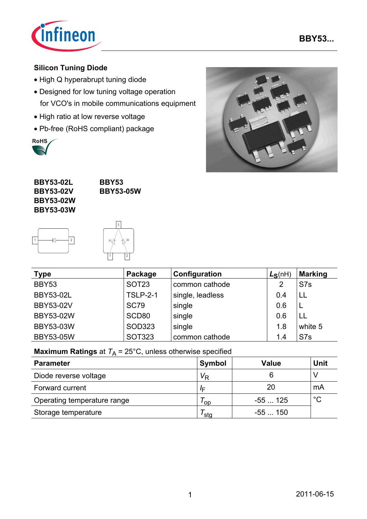

### **Silicon Tuning Diode**

- High Q hyperabrupt tuning diode
- Designed for low tuning voltage operation for VCO's in mobile communications equipment
- High ratio at low reverse voltage
- Pb-free (RoHS compliant) package





**BBY53 BBY53-05W**





| <b>Type</b>      | Package         | Configuration    | $L_S(nH)$ | <b>Marking</b>  |  |
|------------------|-----------------|------------------|-----------|-----------------|--|
| BBY53            | <b>SOT23</b>    | common cathode   |           | S <sub>7s</sub> |  |
| <b>BBY53-02L</b> | <b>TSLP-2-1</b> | single, leadless | 0.4       | ΪL              |  |
| <b>BBY53-02V</b> | <b>SC79</b>     | single           | 0.6       | ┕               |  |
| BBY53-02W        | SCD80           | single           | 0.6       | LL              |  |
| <b>BBY53-03W</b> | <b>SOD323</b>   | single           | 1.8       | white 5         |  |
| <b>BBY53-05W</b> | <b>SOT323</b>   | common cathode   | 1.4       | S7s             |  |

## **Maximum Ratings** at  $T_A = 25^{\circ}$ C, unless otherwise specified

| <b>Parameter</b>            | Symbol         | Value    | <b>Unit</b> |
|-----------------------------|----------------|----------|-------------|
| Diode reverse voltage       | V <sub>R</sub> | 6        |             |
| Forward current             | ΙE             | 20       | mA          |
| Operating temperature range | ' op           | $-55125$ | $^{\circ}C$ |
| Storage temperature         | sta            | -55  150 |             |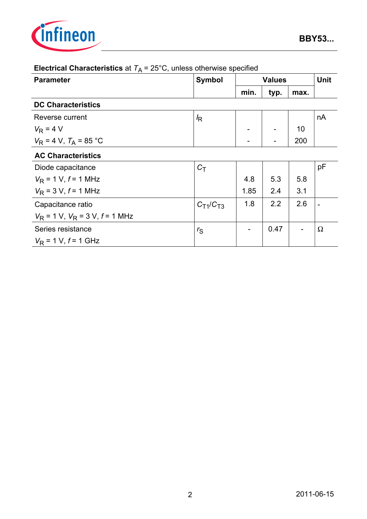

| <b>Parameter</b>                       | <b>Symbol</b>   | <b>Values</b> |      |      | <b>Unit</b>    |  |  |
|----------------------------------------|-----------------|---------------|------|------|----------------|--|--|
|                                        |                 | min.          | typ. | max. |                |  |  |
| <b>DC Characteristics</b>              |                 |               |      |      |                |  |  |
| Reverse current                        | $\sqrt{R}$      |               |      |      | nA             |  |  |
| $V_{\rm R}$ = 4 V                      |                 |               |      | 10   |                |  |  |
| $V_{\rm R}$ = 4 V, $T_{\rm A}$ = 85 °C |                 |               |      | 200  |                |  |  |
| <b>AC Characteristics</b>              |                 |               |      |      |                |  |  |
| Diode capacitance                      | $C_T$           |               |      |      | pF             |  |  |
| $V_{\rm R}$ = 1 V, f = 1 MHz           |                 | 4.8           | 5.3  | 5.8  |                |  |  |
| $V_{\rm R}$ = 3 V, $f$ = 1 MHz         |                 | 1.85          | 2.4  | 3.1  |                |  |  |
| Capacitance ratio                      | $C_{T1}/C_{T3}$ | 1.8           | 2.2  | 2.6  | $\blacksquare$ |  |  |
| $V_R$ = 1 V, $V_R$ = 3 V, $f$ = 1 MHz  |                 |               |      |      |                |  |  |
| Series resistance                      | $r_S$           |               | 0.47 |      | $\Omega$       |  |  |
| $V_R$ = 1 V, $f$ = 1 GHz               |                 |               |      |      |                |  |  |

# **Electrical Characteristics** at  $T_A = 25^\circ \text{C}$ , unless otherwise specified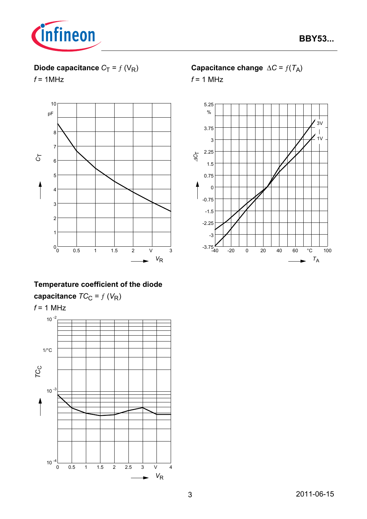

# **Diode capacitance**  $C_T = f(V_R)$

 $f = 1$ MHz



# **Temperature coefficient of the diode**

**capacitance**  $TC_C = f(V_R)$ 



## **Capacitance change**  $\Delta C = f(T_A)$

*f* = 1 MHz

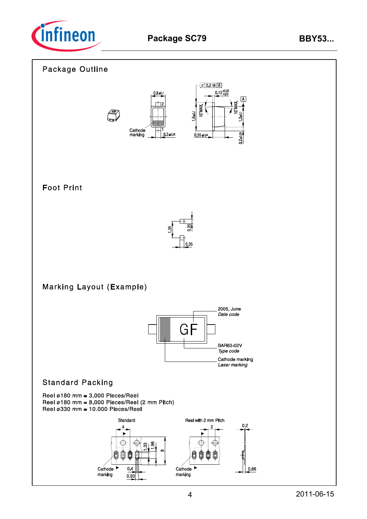

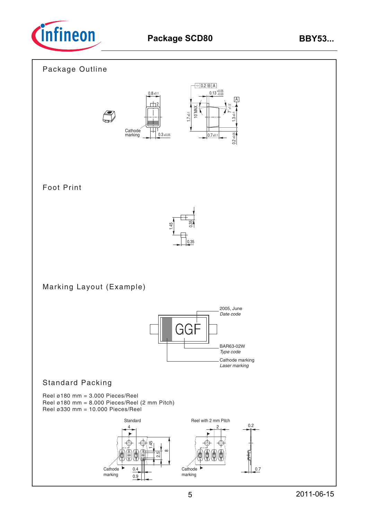

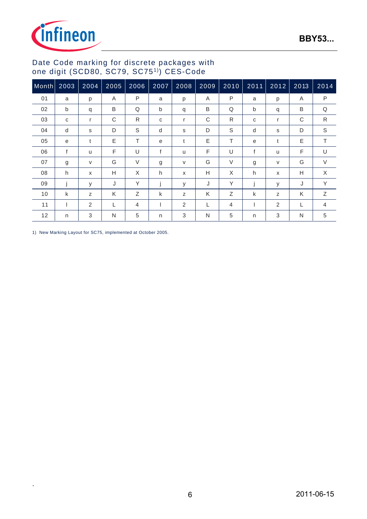

### Date Code marking for discrete packages with one digit (SCD80, SC79, SC751)) CES-Code

| Month | 2003         | 2004 | 2005 | 2006           | 2007         | 2008   | 2009 | 2010           | 2011 | 2012                      | 2013 | 2014           |
|-------|--------------|------|------|----------------|--------------|--------|------|----------------|------|---------------------------|------|----------------|
| 01    | a            | р    | Α    | $\mathsf{P}$   | a            | р      | A    | $\mathsf{P}$   | a    | p                         | Α    | P              |
| 02    | b            | q    | B    | Q              | $\mathsf b$  | q      | B    | Q              | b    | q                         | B    | Q              |
| 03    | C            | r    | С    | R              | C            | r      | C    | R              | C    | r                         | C    | R              |
| 04    | d            | s    | D    | S              | d            | s      | D    | S              | d    | s                         | D    | $\mathbb S$    |
| 05    | e            | t    | E    | T.             | e            | t      | E    | T.             | e    | t                         | Ε    | T.             |
| 06    | $\mathsf{f}$ | u    | F    | U              | $\mathsf{f}$ | u      | F    | U              | f    | u                         | F    | U              |
| 07    | g            | V    | G    | $\vee$         | g            | $\vee$ | G    | V              | g    | $\vee$                    | G    | $\vee$         |
| 08    | h            | X    | Н    | X              | h            | X      | H    | X              | h    | $\boldsymbol{\mathsf{x}}$ | Н    | X              |
| 09    |              | У    | J    | Y              |              | y      | J    | Y              |      | У                         | J    | Y              |
| 10    | k            | Z    | Κ    | Ζ              | k            | Z      | K    | Z              | k    | Z                         | K    | Ζ              |
| 11    |              | 2    |      | $\overline{4}$ |              | 2      | L    | $\overline{4}$ |      | 2                         | L    | $\overline{4}$ |
| 12    | n            | 3    | N    | 5              | n            | 3      | N    | 5              | n    | 3                         | N    | 5              |

1) New Marking Layout for SC75, implemented at October 2005.

.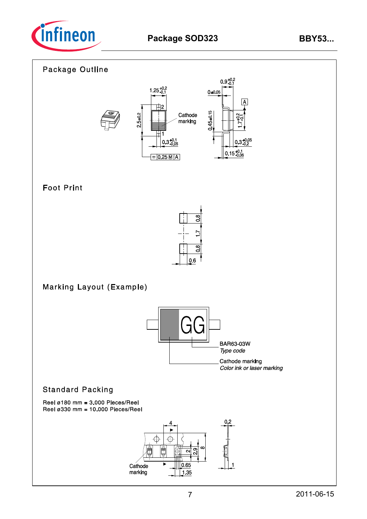

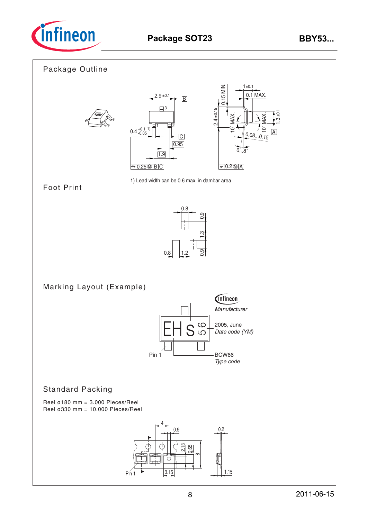

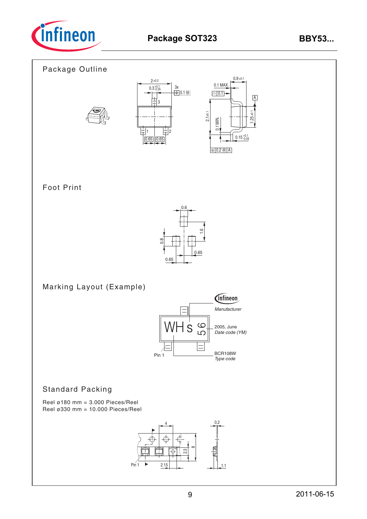

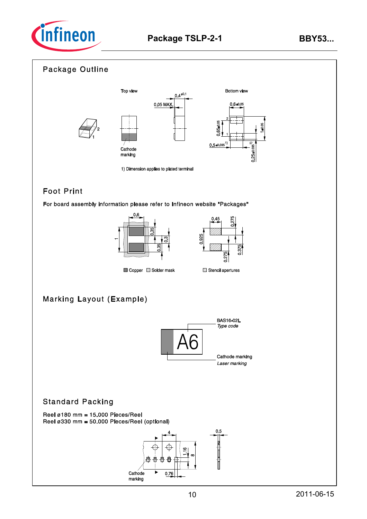



# **Foot Print**

For board assembly information please refer to Infineon website "Packages"





Copper Solder mask

# **Marking Layout (Example)**



### **Standard Packing**

Reel  $\varnothing$ 180 mm = 15.000 Pieces/Reel Reel ø330 mm = 50.000 Pieces/Reel (optional)